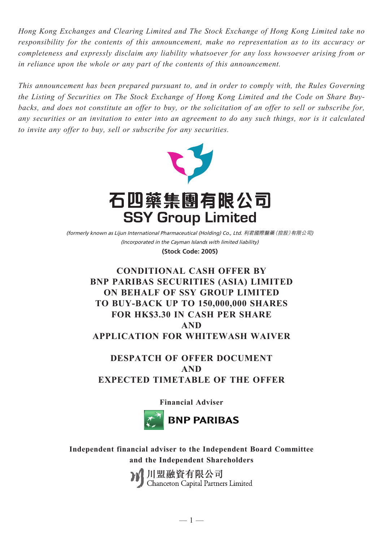*Hong Kong Exchanges and Clearing Limited and The Stock Exchange of Hong Kong Limited take no responsibility for the contents of this announcement, make no representation as to its accuracy or completeness and expressly disclaim any liability whatsoever for any loss howsoever arising from or in reliance upon the whole or any part of the contents of this announcement.*

*This announcement has been prepared pursuant to, and in order to comply with, the Rules Governing the Listing of Securities on The Stock Exchange of Hong Kong Limited and the Code on Share Buybacks, and does not constitute an offer to buy, or the solicitation of an offer to sell or subscribe for, any securities or an invitation to enter into an agreement to do any such things, nor is it calculated to invite any offer to buy, sell or subscribe for any securities.*



(Incorporated in the Cayman Islands with limited liability) (formerly known as Lijun International Pharmaceutical (Holding) Co., Ltd. 利君國際醫藥(控股)有限公司) **(Stock Code: 2005)**

# **CONDITIONAL CASH OFFER BY BNP PARIBAS SECURITIES (ASIA) LIMITED ON BEHALF OF SSY GROUP LIMITED TO BUY-BACK UP TO 150,000,000 SHARES FOR HK\$3.30 IN CASH PER SHARE AND APPLICATION FOR WHITEWASH WAIVER**

# **DESPATCH OF OFFER DOCUMENT AND EXPECTED TIMETABLE OF THE OFFER**

**Financial Adviser**



**Independent financial adviser to the Independent Board Committee and the Independent Shareholders**

川盟融資有限公司<br>Chanceton Capital Partners Limited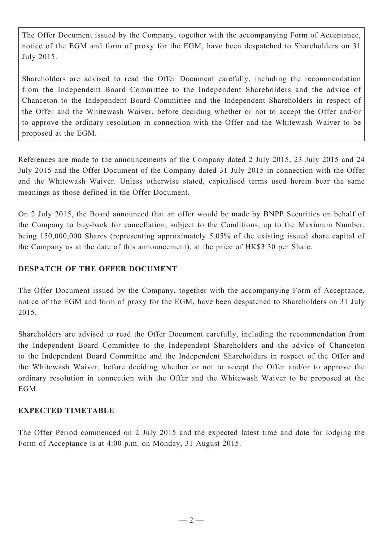The Offer Document issued by the Company, together with the accompanying Form of Acceptance, notice of the EGM and form of proxy for the EGM, have been despatched to Shareholders on 31 July 2015.

Shareholders are advised to read the Offer Document carefully, including the recommendation from the Independent Board Committee to the Independent Shareholders and the advice of Chanceton to the Independent Board Committee and the Independent Shareholders in respect of the Offer and the Whitewash Waiver, before deciding whether or not to accept the Offer and/or to approve the ordinary resolution in connection with the Offer and the Whitewash Waiver to be proposed at the EGM.

References are made to the announcements of the Company dated 2 July 2015, 23 July 2015 and 24 July 2015 and the Offer Document of the Company dated 31 July 2015 in connection with the Offer and the Whitewash Waiver. Unless otherwise stated, capitalised terms used herein bear the same meanings as those defined in the Offer Document.

On 2 July 2015, the Board announced that an offer would be made by BNPP Securities on behalf of the Company to buy-back for cancellation, subject to the Conditions, up to the Maximum Number, being 150,000,000 Shares (representing approximately 5.05% of the existing issued share capital of the Company as at the date of this announcement), at the price of HK\$3.30 per Share.

## **DESPATCH OF THE OFFER DOCUMENT**

The Offer Document issued by the Company, together with the accompanying Form of Acceptance, notice of the EGM and form of proxy for the EGM, have been despatched to Shareholders on 31 July 2015.

Shareholders are advised to read the Offer Document carefully, including the recommendation from the Independent Board Committee to the Independent Shareholders and the advice of Chanceton to the Independent Board Committee and the Independent Shareholders in respect of the Offer and the Whitewash Waiver, before deciding whether or not to accept the Offer and/or to approve the ordinary resolution in connection with the Offer and the Whitewash Waiver to be proposed at the EGM.

### **EXPECTED TIMETABLE**

The Offer Period commenced on 2 July 2015 and the expected latest time and date for lodging the Form of Acceptance is at 4:00 p.m. on Monday, 31 August 2015.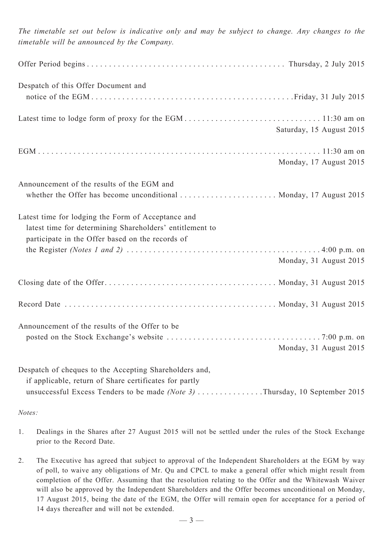| The timetable set out below is indicative only and may be subject to change. Any changes to the<br>timetable will be announced by the Company.                                                    |                          |
|---------------------------------------------------------------------------------------------------------------------------------------------------------------------------------------------------|--------------------------|
|                                                                                                                                                                                                   |                          |
| Despatch of this Offer Document and                                                                                                                                                               |                          |
|                                                                                                                                                                                                   | Saturday, 15 August 2015 |
|                                                                                                                                                                                                   | Monday, 17 August 2015   |
| Announcement of the results of the EGM and<br>whether the Offer has become unconditional  Monday, 17 August 2015                                                                                  |                          |
| Latest time for lodging the Form of Acceptance and<br>latest time for determining Shareholders' entitlement to<br>participate in the Offer based on the records of                                | Monday, 31 August 2015   |
|                                                                                                                                                                                                   |                          |
|                                                                                                                                                                                                   |                          |
| Announcement of the results of the Offer to be                                                                                                                                                    | Monday, 31 August 2015   |
| Despatch of cheques to the Accepting Shareholders and,<br>if applicable, return of Share certificates for partly<br>unsuccessful Excess Tenders to be made $(Note 3)$ Thursday, 10 September 2015 |                          |

*Notes:*

- 1. Dealings in the Shares after 27 August 2015 will not be settled under the rules of the Stock Exchange prior to the Record Date.
- 2. The Executive has agreed that subject to approval of the Independent Shareholders at the EGM by way of poll, to waive any obligations of Mr. Qu and CPCL to make a general offer which might result from completion of the Offer. Assuming that the resolution relating to the Offer and the Whitewash Waiver will also be approved by the Independent Shareholders and the Offer becomes unconditional on Monday, 17 August 2015, being the date of the EGM, the Offer will remain open for acceptance for a period of 14 days thereafter and will not be extended.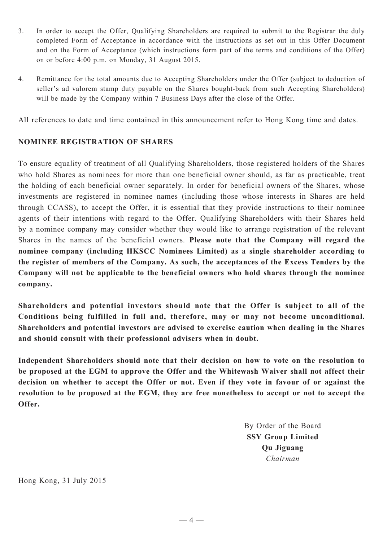- 3. In order to accept the Offer, Qualifying Shareholders are required to submit to the Registrar the duly completed Form of Acceptance in accordance with the instructions as set out in this Offer Document and on the Form of Acceptance (which instructions form part of the terms and conditions of the Offer) on or before 4:00 p.m. on Monday, 31 August 2015.
- 4. Remittance for the total amounts due to Accepting Shareholders under the Offer (subject to deduction of seller's ad valorem stamp duty payable on the Shares bought-back from such Accepting Shareholders) will be made by the Company within 7 Business Days after the close of the Offer.

All references to date and time contained in this announcement refer to Hong Kong time and dates.

### **NOMINEE REGISTRATION OF SHARES**

To ensure equality of treatment of all Qualifying Shareholders, those registered holders of the Shares who hold Shares as nominees for more than one beneficial owner should, as far as practicable, treat the holding of each beneficial owner separately. In order for beneficial owners of the Shares, whose investments are registered in nominee names (including those whose interests in Shares are held through CCASS), to accept the Offer, it is essential that they provide instructions to their nominee agents of their intentions with regard to the Offer. Qualifying Shareholders with their Shares held by a nominee company may consider whether they would like to arrange registration of the relevant Shares in the names of the beneficial owners. **Please note that the Company will regard the nominee company (including HKSCC Nominees Limited) as a single shareholder according to the register of members of the Company. As such, the acceptances of the Excess Tenders by the Company will not be applicable to the beneficial owners who hold shares through the nominee company.**

**Shareholders and potential investors should note that the Offer is subject to all of the Conditions being fulfilled in full and, therefore, may or may not become unconditional. Shareholders and potential investors are advised to exercise caution when dealing in the Shares and should consult with their professional advisers when in doubt.**

**Independent Shareholders should note that their decision on how to vote on the resolution to be proposed at the EGM to approve the Offer and the Whitewash Waiver shall not affect their decision on whether to accept the Offer or not. Even if they vote in favour of or against the resolution to be proposed at the EGM, they are free nonetheless to accept or not to accept the Offer.**

> By Order of the Board **SSY Group Limited Qu Jiguang** *Chairman*

Hong Kong, 31 July 2015